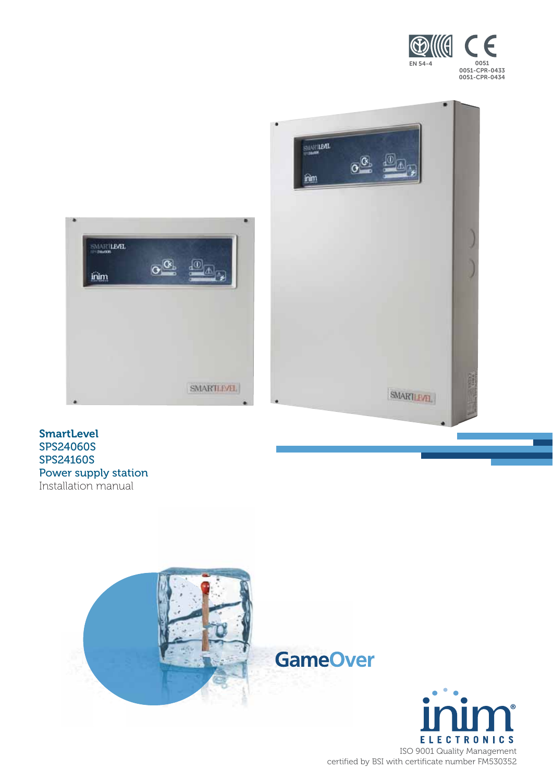



#### SmartLevel SPS24060S SPS24160S Power supply station Installation manual



**ELECTRONICS** ISO 9001 Quality Management certified by BSI with certificate number FM530352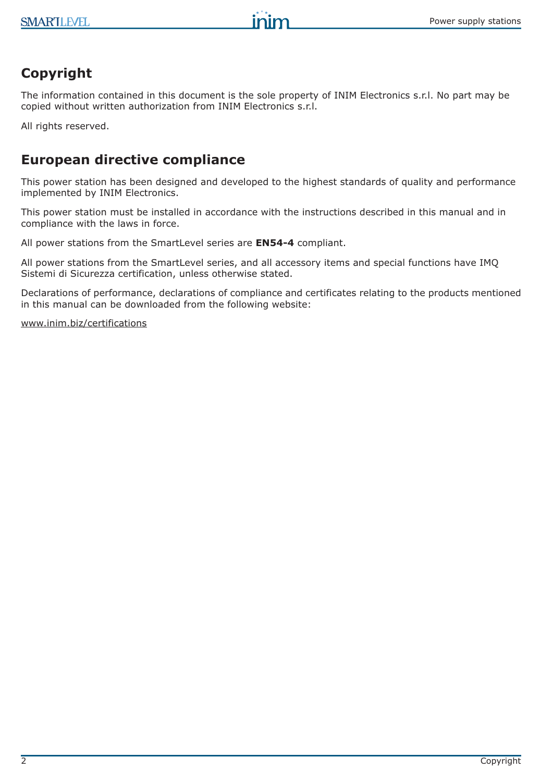# **Copyright**

The information contained in this document is the sole property of INIM Electronics s.r.l. No part may be copied without written authorization from INIM Electronics s.r.l.

inim

All rights reserved.

# **European directive compliance**

This power station has been designed and developed to the highest standards of quality and performance implemented by INIM Electronics.

This power station must be installed in accordance with the instructions described in this manual and in compliance with the laws in force.

All power stations from the SmartLevel series are **EN54-4** compliant.

All power stations from the SmartLevel series, and all accessory items and special functions have IMQ Sistemi di Sicurezza certification, unless otherwise stated.

Declarations of performance, declarations of compliance and certificates relating to the products mentioned in this manual can be downloaded from the following website:

www.inim.biz/certifications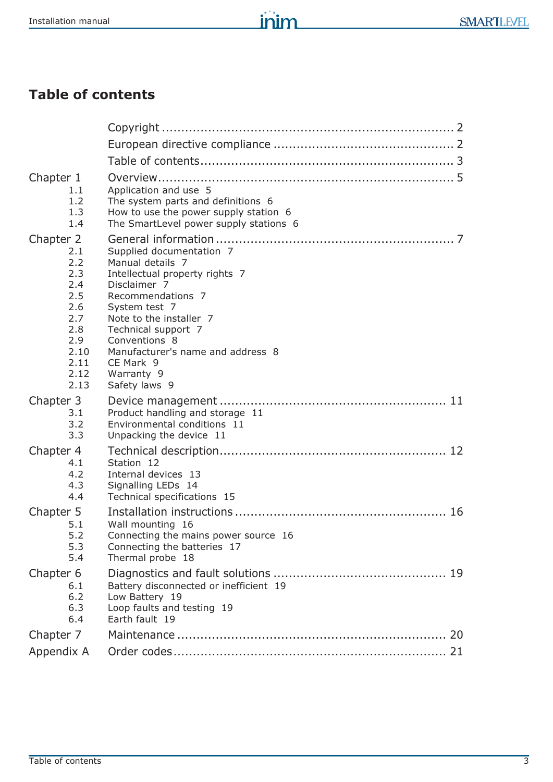# **Table of contents**

| Chapter 1  |                                        |
|------------|----------------------------------------|
| 1.1        | Application and use 5                  |
| 1.2        | The system parts and definitions 6     |
| 1.3        | How to use the power supply station 6  |
| 1.4        | The SmartLevel power supply stations 6 |
| Chapter 2  |                                        |
| 2.1        | Supplied documentation 7               |
| 2.2        | Manual details 7                       |
| 2.3        | Intellectual property rights 7         |
| 2.4        | Disclaimer 7                           |
| 2.5        | Recommendations 7                      |
| 2.6        | System test 7                          |
| 2.7        | Note to the installer 7                |
| 2.8        | Technical support 7                    |
| 2.9        | Conventions 8                          |
| 2.10       | Manufacturer's name and address 8      |
| 2.11       | CE Mark 9                              |
| 2.12       | Warranty 9                             |
| 2.13       | Safety laws 9                          |
| Chapter 3  |                                        |
| 3.1        | Product handling and storage 11        |
| 3.2        | Environmental conditions 11            |
| 3.3        | Unpacking the device 11                |
| Chapter 4  |                                        |
| 4.1        | Station 12                             |
| 4.2        | Internal devices 13                    |
| 4.3        | Signalling LEDs 14                     |
| 4.4        | Technical specifications 15            |
| Chapter 5  |                                        |
| 5.1        | Wall mounting 16                       |
| 5.2        | Connecting the mains power source 16   |
| 5.3        | Connecting the batteries 17            |
| 5.4        | Thermal probe 18                       |
| Chapter 6  |                                        |
| 6.1        | Battery disconnected or inefficient 19 |
| 6.2        | Low Battery 19                         |
| 6.3        | Loop faults and testing 19             |
| 6.4        | Earth fault 19                         |
| Chapter 7  |                                        |
| Appendix A |                                        |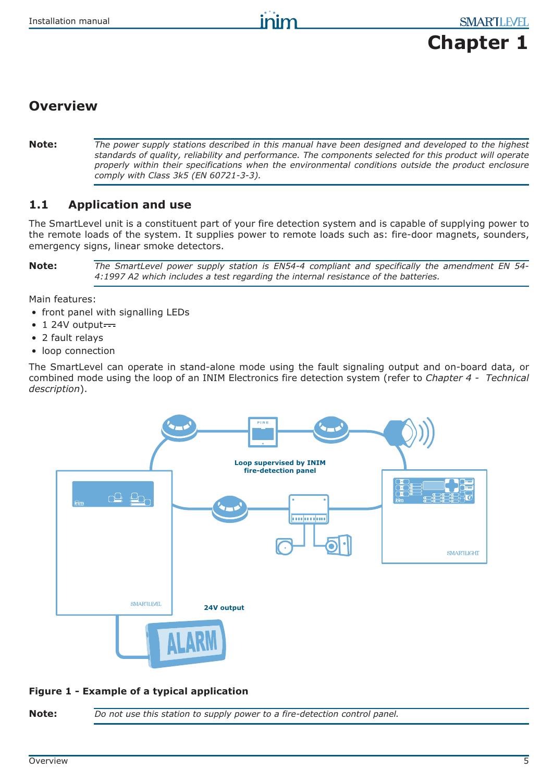# **Chapter 1**

# **Overview**

**Note:** *The power supply stations described in this manual have been designed and developed to the highest standards of quality, reliability and performance. The components selected for this product will operate properly within their specifications when the environmental conditions outside the product enclosure comply with Class 3k5 (EN 60721-3-3).*

# **1.1 Application and use**

The SmartLevel unit is a constituent part of your fire detection system and is capable of supplying power to the remote loads of the system. It supplies power to remote loads such as: fire-door magnets, sounders, emergency signs, linear smoke detectors.

**Note:** *The SmartLevel power supply station is EN54-4 compliant and specifically the amendment EN 54- 4:1997 A2 which includes a test regarding the internal resistance of the batteries.*

Main features:

- front panel with signalling LEDs
- $\bullet$  1 24V output $\overline{\phantom{a}}$
- 2 fault relays
- loop connection

The SmartLevel can operate in stand-alone mode using the fault signaling output and on-board data, or combined mode using the loop of an INIM Electronics fire detection system (refer to *Chapter 4 - Technical description*).



#### **Figure 1 - Example of a typical application**

**Note:** *Do not use this station to supply power to a fire-detection control panel.*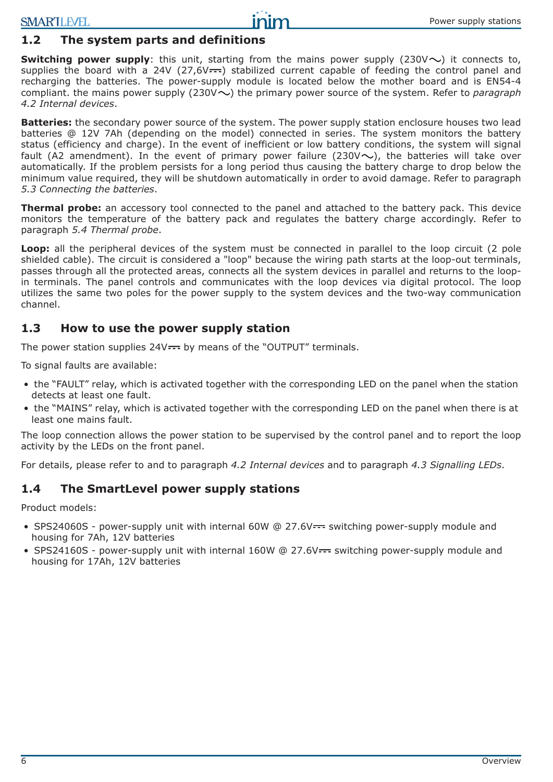## **1.2 The system parts and definitions**

**Switching power supply**: this unit, starting from the mains power supply  $(230\vee \sim)$  it connects to, supplies the board with a 24V (27,6V $\leftarrow$ ) stabilized current capable of feeding the control panel and recharging the batteries. The power-supply module is located below the mother board and is EN54-4 compliant. the mains power supply (230V $\sim$ ) the primary power source of the system. Refer to *paragraph 4.2 Internal devices*.

**Batteries:** the secondary power source of the system. The power supply station enclosure houses two lead batteries @ 12V 7Ah (depending on the model) connected in series. The system monitors the battery status (efficiency and charge). In the event of inefficient or low battery conditions, the system will signal fault (A2 amendment). In the event of primary power failure (230V $\sim$ ), the batteries will take over automatically. If the problem persists for a long period thus causing the battery charge to drop below the minimum value required, they will be shutdown automatically in order to avoid damage. Refer to paragraph *5.3 Connecting the batteries*.

**Thermal probe:** an accessory tool connected to the panel and attached to the battery pack. This device monitors the temperature of the battery pack and regulates the battery charge accordingly. Refer to paragraph *5.4 Thermal probe*.

**Loop:** all the peripheral devices of the system must be connected in parallel to the loop circuit (2 pole shielded cable). The circuit is considered a "loop" because the wiring path starts at the loop-out terminals, passes through all the protected areas, connects all the system devices in parallel and returns to the loopin terminals. The panel controls and communicates with the loop devices via digital protocol. The loop utilizes the same two poles for the power supply to the system devices and the two-way communication channel.

#### **1.3 How to use the power supply station**

The power station supplies  $24V$  = by means of the "OUTPUT" terminals.

To signal faults are available:

- the "FAULT" relay, which is activated together with the corresponding LED on the panel when the station detects at least one fault.
- the "MAINS" relay, which is activated together with the corresponding LED on the panel when there is at least one mains fault.

The loop connection allows the power station to be supervised by the control panel and to report the loop activity by the LEDs on the front panel.

For details, please refer to and to paragraph *4.2 Internal devices* and to paragraph *4.3 Signalling LEDs*.

#### **1.4 The SmartLevel power supply stations**

Product models:

- SPS24060S power-supply unit with internal 60W  $\textcircled{a}$  27.6V $\text{---}$  switching power-supply module and housing for 7Ah, 12V batteries
- SPS24160S power-supply unit with internal 160W @ 27.6V $\leftarrow$  switching power-supply module and housing for 17Ah, 12V batteries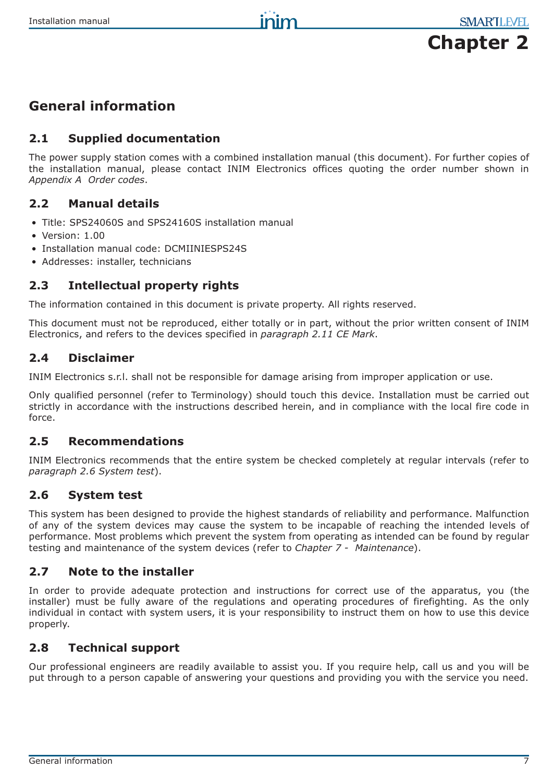

# **General information**

## **2.1 Supplied documentation**

The power supply station comes with a combined installation manual (this document). For further copies of the installation manual, please contact INIM Electronics offices quoting the order number shown in *Appendix A Order codes*.

# **2.2 Manual details**

- Title: SPS24060S and SPS24160S installation manual
- Version: 1.00
- Installation manual code: DCMIINIESPS24S
- Addresses: installer, technicians

# **2.3 Intellectual property rights**

The information contained in this document is private property. All rights reserved.

This document must not be reproduced, either totally or in part, without the prior written consent of INIM Electronics, and refers to the devices specified in *paragraph 2.11 CE Mark*.

## **2.4 Disclaimer**

INIM Electronics s.r.l. shall not be responsible for damage arising from improper application or use.

Only qualified personnel (refer to Terminology) should touch this device. Installation must be carried out strictly in accordance with the instructions described herein, and in compliance with the local fire code in force.

# **2.5 Recommendations**

INIM Electronics recommends that the entire system be checked completely at regular intervals (refer to *paragraph 2.6 System test*).

# **2.6 System test**

This system has been designed to provide the highest standards of reliability and performance. Malfunction of any of the system devices may cause the system to be incapable of reaching the intended levels of performance. Most problems which prevent the system from operating as intended can be found by regular testing and maintenance of the system devices (refer to *Chapter 7 - Maintenance*).

# **2.7 Note to the installer**

In order to provide adequate protection and instructions for correct use of the apparatus, you (the installer) must be fully aware of the regulations and operating procedures of firefighting. As the only individual in contact with system users, it is your responsibility to instruct them on how to use this device properly.

# **2.8 Technical support**

Our professional engineers are readily available to assist you. If you require help, call us and you will be put through to a person capable of answering your questions and providing you with the service you need.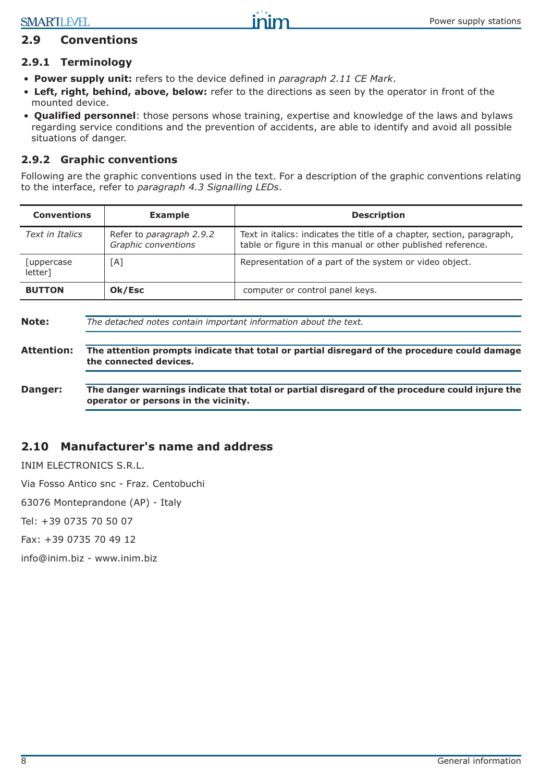## **2.9 Conventions**

#### **2.9.1 Terminology**

- **Power supply unit:** refers to the device defined in *paragraph 2.11 CE Mark*.
- **Left, right, behind, above, below:** refer to the directions as seen by the operator in front of the mounted device.
- **Qualified personnel**: those persons whose training, expertise and knowledge of the laws and bylaws regarding service conditions and the prevention of accidents, are able to identify and avoid all possible situations of danger.

#### **2.9.2 Graphic conventions**

Following are the graphic conventions used in the text. For a description of the graphic conventions relating to the interface, refer to *paragraph 4.3 Signalling LEDs*.

| <b>Conventions</b>     | <b>Example</b>                                  | <b>Description</b>                                                                                                                     |
|------------------------|-------------------------------------------------|----------------------------------------------------------------------------------------------------------------------------------------|
| Text in Italics        | Refer to paragraph 2.9.2<br>Graphic conventions | Text in italics: indicates the title of a chapter, section, paragraph,<br>table or figure in this manual or other published reference. |
| [uppercase]<br>letter] | [A]                                             | Representation of a part of the system or video object.                                                                                |
| <b>BUTTON</b>          | Ok/Esc                                          | computer or control panel keys.                                                                                                        |
|                        |                                                 |                                                                                                                                        |

| Note:             | The detached notes contain important information about the text.                                                                       |  |
|-------------------|----------------------------------------------------------------------------------------------------------------------------------------|--|
| <b>Attention:</b> | The attention prompts indicate that total or partial disregard of the procedure could damage<br>the connected devices.                 |  |
| Danger:           | The danger warnings indicate that total or partial disregard of the procedure could injure the<br>operator or persons in the vicinity. |  |

## **2.10 Manufacturer's name and address**

INIM ELECTRONICS S.R.L.

Via Fosso Antico snc - Fraz. Centobuchi

63076 Monteprandone (AP) - Italy

Tel: +39 0735 70 50 07

Fax: +39 0735 70 49 12

info@inim.biz - www.inim.biz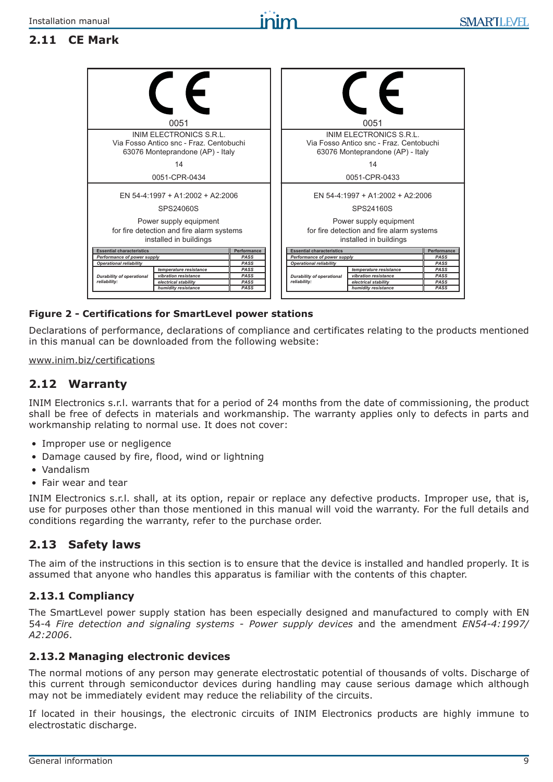# **2.11 CE Mark**

| 0051                                                                                                   | 0051                                                                                                   |              |
|--------------------------------------------------------------------------------------------------------|--------------------------------------------------------------------------------------------------------|--------------|
| INIM ELECTRONICS S.R.L.<br>Via Fosso Antico snc - Fraz. Centobuchi<br>63076 Monteprandone (AP) - Italy | INIM ELECTRONICS S.R.L.<br>Via Fosso Antico snc - Fraz. Centobuchi<br>63076 Monteprandone (AP) - Italy |              |
| 14                                                                                                     | 14                                                                                                     |              |
| 0051-CPR-0434                                                                                          | 0051-CPR-0433                                                                                          |              |
| FN 54-4:1997 + A1:2002 + A2:2006                                                                       | FN 54-4:1997 + A1:2002 + A2:2006                                                                       |              |
| SPS24060S                                                                                              | SPS24160S                                                                                              |              |
| Power supply equipment<br>for fire detection and fire alarm systems<br>installed in buildings          | Power supply equipment<br>for fire detection and fire alarm systems<br>installed in buildings          |              |
| <b>Essential characteristics</b><br>Performance                                                        | <b>Essential characteristics</b>                                                                       | Performance  |
| Performance of power supply<br>PASS<br>PASS<br><b>Operational reliability</b>                          | Performance of power supply<br><b>Operational reliability</b>                                          | PASS<br>PASS |
| PASS<br>temperature resistance                                                                         | temperature resistance                                                                                 | PASS         |
| vibration resistance<br>PASS<br><b>Durability of operational</b>                                       | vibration resistance<br><b>Durability of operational</b>                                               | <b>PASS</b>  |
| reliability:<br>electrical stability<br>PASS                                                           | reliability:<br>electrical stability                                                                   | <b>PASS</b>  |
| humidity resistance<br>PASS                                                                            | humidity resistance                                                                                    | <b>PASS</b>  |

#### **Figure 2 - Certifications for SmartLevel power stations**

Declarations of performance, declarations of compliance and certificates relating to the products mentioned in this manual can be downloaded from the following website:

#### www.inim.biz/certifications

#### **2.12 Warranty**

INIM Electronics s.r.l. warrants that for a period of 24 months from the date of commissioning, the product shall be free of defects in materials and workmanship. The warranty applies only to defects in parts and workmanship relating to normal use. It does not cover:

- Improper use or negligence
- Damage caused by fire, flood, wind or lightning
- Vandalism
- Fair wear and tear

INIM Electronics s.r.l. shall, at its option, repair or replace any defective products. Improper use, that is, use for purposes other than those mentioned in this manual will void the warranty. For the full details and conditions regarding the warranty, refer to the purchase order.

## **2.13 Safety laws**

The aim of the instructions in this section is to ensure that the device is installed and handled properly. It is assumed that anyone who handles this apparatus is familiar with the contents of this chapter.

#### **2.13.1 Compliancy**

The SmartLevel power supply station has been especially designed and manufactured to comply with EN 54-4 *Fire detection and signaling systems - Power supply devices* and the amendment *EN54-4:1997/ A2:2006*.

#### **2.13.2 Managing electronic devices**

The normal motions of any person may generate electrostatic potential of thousands of volts. Discharge of this current through semiconductor devices during handling may cause serious damage which although may not be immediately evident may reduce the reliability of the circuits.

If located in their housings, the electronic circuits of INIM Electronics products are highly immune to electrostatic discharge.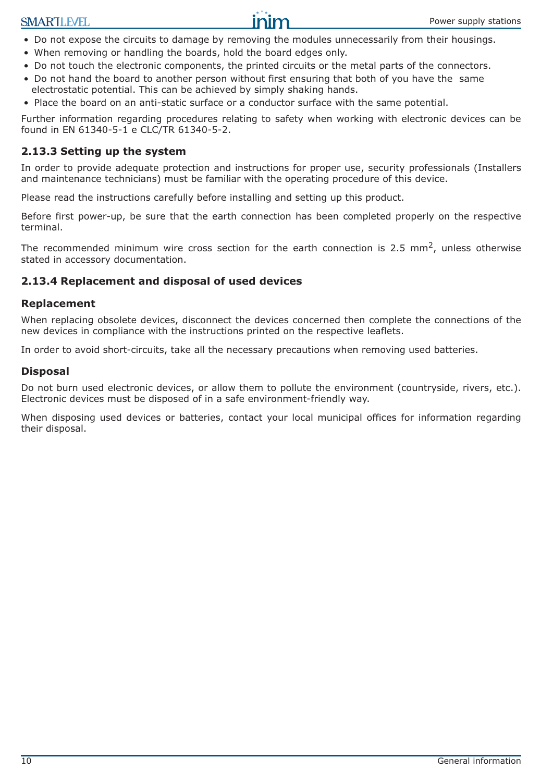

- Do not expose the circuits to damage by removing the modules unnecessarily from their housings.
- When removing or handling the boards, hold the board edges only.
- Do not touch the electronic components, the printed circuits or the metal parts of the connectors.
- Do not hand the board to another person without first ensuring that both of you have the same electrostatic potential. This can be achieved by simply shaking hands.
- Place the board on an anti-static surface or a conductor surface with the same potential.

Further information regarding procedures relating to safety when working with electronic devices can be found in EN 61340-5-1 e CLC/TR 61340-5-2.

#### **2.13.3 Setting up the system**

In order to provide adequate protection and instructions for proper use, security professionals (Installers and maintenance technicians) must be familiar with the operating procedure of this device.

Please read the instructions carefully before installing and setting up this product.

Before first power-up, be sure that the earth connection has been completed properly on the respective terminal.

The recommended minimum wire cross section for the earth connection is 2.5 mm<sup>2</sup>, unless otherwise stated in accessory documentation.

#### **2.13.4 Replacement and disposal of used devices**

#### **Replacement**

When replacing obsolete devices, disconnect the devices concerned then complete the connections of the new devices in compliance with the instructions printed on the respective leaflets.

In order to avoid short-circuits, take all the necessary precautions when removing used batteries.

#### **Disposal**

Do not burn used electronic devices, or allow them to pollute the environment (countryside, rivers, etc.). Electronic devices must be disposed of in a safe environment-friendly way.

When disposing used devices or batteries, contact your local municipal offices for information regarding their disposal.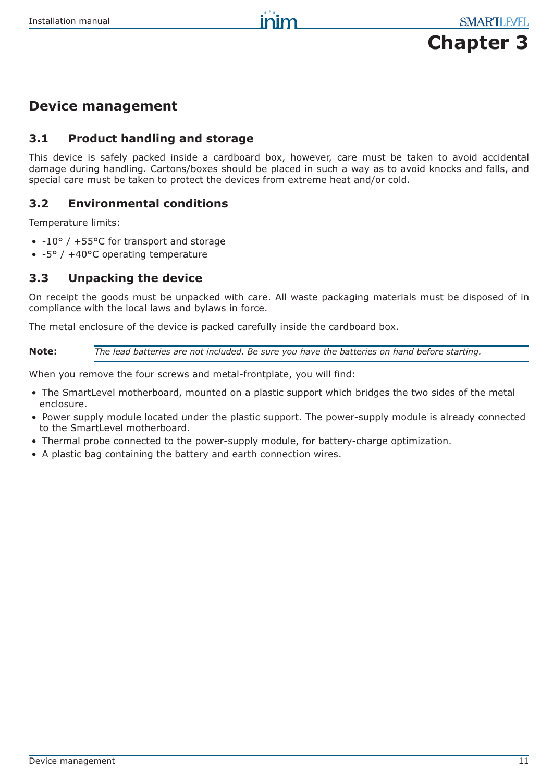

# **Device management**

## **3.1 Product handling and storage**

This device is safely packed inside a cardboard box, however, care must be taken to avoid accidental damage during handling. Cartons/boxes should be placed in such a way as to avoid knocks and falls, and special care must be taken to protect the devices from extreme heat and/or cold.

## **3.2 Environmental conditions**

Temperature limits:

- -10° / +55°C for transport and storage
- -5° / +40°C operating temperature

#### **3.3 Unpacking the device**

On receipt the goods must be unpacked with care. All waste packaging materials must be disposed of in compliance with the local laws and bylaws in force.

The metal enclosure of the device is packed carefully inside the cardboard box.

**Note:** *The lead batteries are not included. Be sure you have the batteries on hand before starting.*

When you remove the four screws and metal-frontplate, you will find:

- The SmartLevel motherboard, mounted on a plastic support which bridges the two sides of the metal enclosure.
- Power supply module located under the plastic support. The power-supply module is already connected to the SmartLevel motherboard.
- Thermal probe connected to the power-supply module, for battery-charge optimization.
- A plastic bag containing the battery and earth connection wires.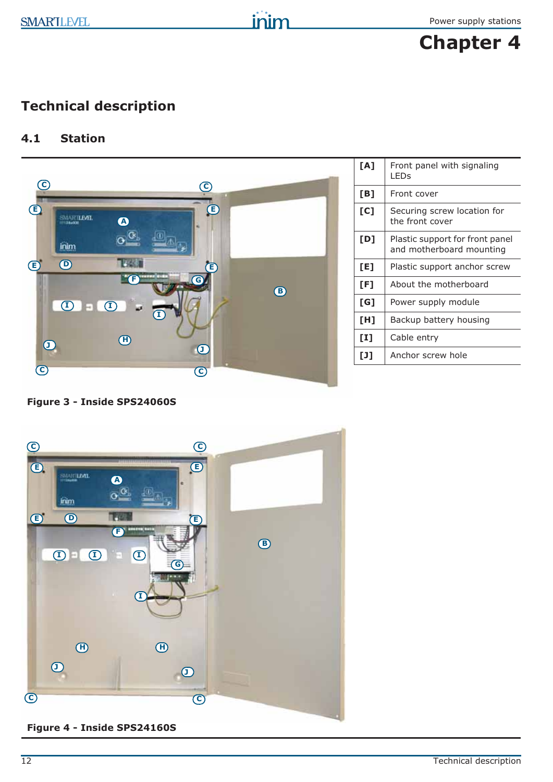

# **Technical description**

# **4.1 Station**



| [A]                               | Front panel with signaling<br><b>LED<sub>S</sub></b>        |
|-----------------------------------|-------------------------------------------------------------|
| [B]                               | Front cover                                                 |
| [C]                               | Securing screw location for<br>the front cover              |
| [D]                               | Plastic support for front panel<br>and motherboard mounting |
| [E]                               | Plastic support anchor screw                                |
| [F]                               | About the motherboard                                       |
| [G]                               | Power supply module                                         |
| [H]                               | Backup battery housing                                      |
| $[1]$                             | Cable entry                                                 |
| $\begin{bmatrix} 1 \end{bmatrix}$ | Anchor screw hole                                           |

**Figure 3 - Inside SPS24060S**



**Figure 4 - Inside SPS24160S**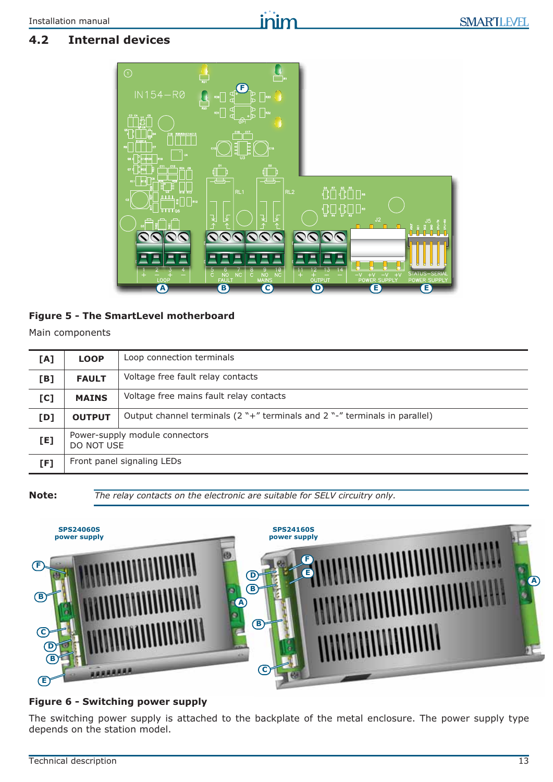# inim

# **4.2 Internal devices**



#### **Figure 5 - The SmartLevel motherboard**

Main components

| [A] | Loop connection terminals<br><b>LOOP</b>     |                                                                                |
|-----|----------------------------------------------|--------------------------------------------------------------------------------|
| [B] | <b>FAULT</b>                                 | Voltage free fault relay contacts                                              |
| [C] | <b>MAINS</b>                                 | Voltage free mains fault relay contacts                                        |
| [D] | <b>OUTPUT</b>                                | Output channel terminals $(2 "+"$ terminals and $2 "-"$ terminals in parallel) |
| [E] | Power-supply module connectors<br>DO NOT USE |                                                                                |
| [F] | Front panel signaling LEDs                   |                                                                                |

**Note:** *The relay contacts on the electronic are suitable for SELV circuitry only.*



#### **Figure 6 - Switching power supply**

The switching power supply is attached to the backplate of the metal enclosure. The power supply type depends on the station model.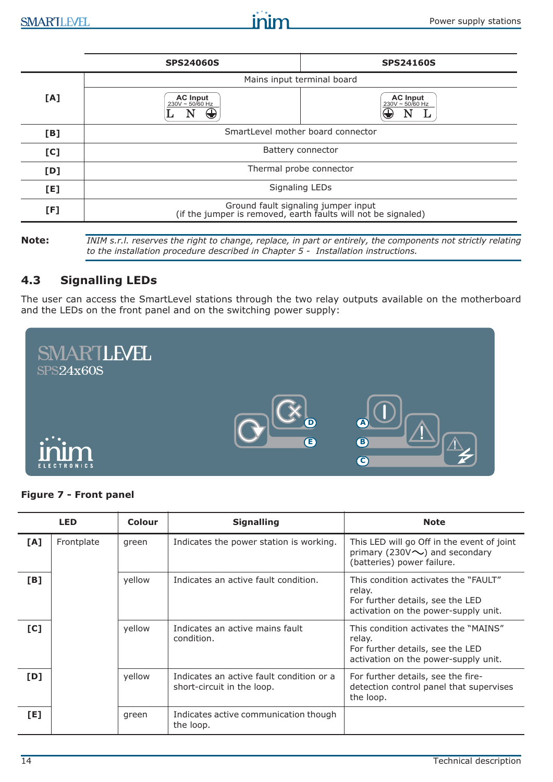|     | <b>SPS24060S</b>                                                                                     | <b>SPS24160S</b>                          |  |
|-----|------------------------------------------------------------------------------------------------------|-------------------------------------------|--|
|     | Mains input terminal board                                                                           |                                           |  |
| [A] | <b>AC Input</b><br>230V ~ 50/60 Hz                                                                   | <b>AC Input</b><br>$230V - 50/60$ Hz<br>₹ |  |
| [B] | SmartLevel mother board connector                                                                    |                                           |  |
| [C] | Battery connector                                                                                    |                                           |  |
| [D] | Thermal probe connector                                                                              |                                           |  |
| [E] | <b>Signaling LEDs</b>                                                                                |                                           |  |
| [F] | Ground fault signaling jumper input<br>(if the jumper is removed, earth faults will not be signaled) |                                           |  |
|     |                                                                                                      |                                           |  |

**Note:** *INIM s.r.l. reserves the right to change, replace, in part or entirely, the components not strictly relating to the installation procedure described in Chapter 5 - Installation instructions.*

## **4.3 Signalling LEDs**

The user can access the SmartLevel stations through the two relay outputs available on the motherboard and the LEDs on the front panel and on the switching power supply:



#### **Figure 7 - Front panel**

|     | <b>LED</b> | <b>Colour</b> | <b>Signalling</b>                                                      | <b>Note</b>                                                                                                                |
|-----|------------|---------------|------------------------------------------------------------------------|----------------------------------------------------------------------------------------------------------------------------|
| [A] | Frontplate | green         | Indicates the power station is working.                                | This LED will go Off in the event of joint<br>primary (230V $\sim$ ) and secondary<br>(batteries) power failure.           |
| [B] |            | yellow        | Indicates an active fault condition.                                   | This condition activates the "FAULT"<br>relay.<br>For further details, see the LED<br>activation on the power-supply unit. |
| [C] |            | yellow        | Indicates an active mains fault<br>condition.                          | This condition activates the "MAINS"<br>relay.<br>For further details, see the LED<br>activation on the power-supply unit. |
| [D] |            | yellow        | Indicates an active fault condition or a<br>short-circuit in the loop. | For further details, see the fire-<br>detection control panel that supervises<br>the loop.                                 |
| [E] |            | green         | Indicates active communication though<br>the loop.                     |                                                                                                                            |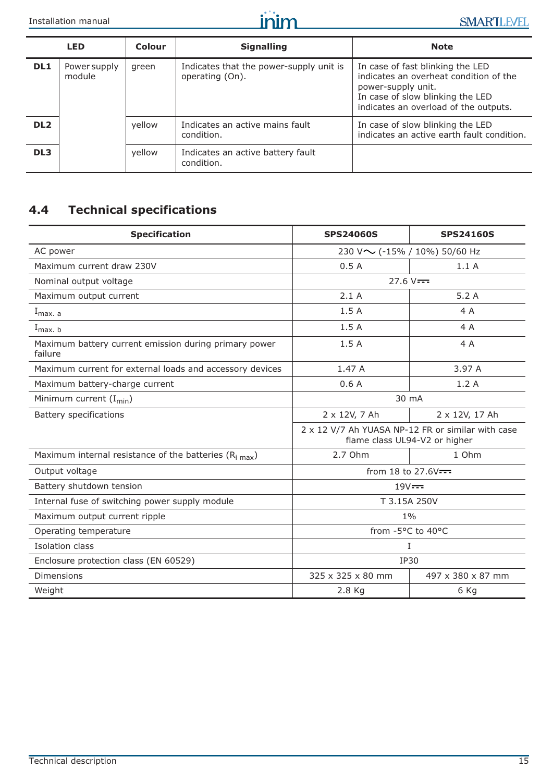

|                 | <b>LED</b>             | Colour | <b>Signalling</b>                                          | <b>Note</b>                                                                                                                                                                   |
|-----------------|------------------------|--------|------------------------------------------------------------|-------------------------------------------------------------------------------------------------------------------------------------------------------------------------------|
| DL1             | Power supply<br>module | green  | Indicates that the power-supply unit is<br>operating (On). | In case of fast blinking the LED<br>indicates an overheat condition of the<br>power-supply unit.<br>In case of slow blinking the LED<br>indicates an overload of the outputs. |
| DL <sub>2</sub> |                        | yellow | Indicates an active mains fault<br>condition.              | In case of slow blinking the LED<br>indicates an active earth fault condition.                                                                                                |
| DL <sub>3</sub> |                        | yellow | Indicates an active battery fault<br>condition.            |                                                                                                                                                                               |

# **4.4 Technical specifications**

| <b>Specification</b>                                                 | <b>SPS24060S</b>    | <b>SPS24160S</b>                                                                   |
|----------------------------------------------------------------------|---------------------|------------------------------------------------------------------------------------|
| AC power                                                             |                     | 230 V ~ (-15% / 10%) 50/60 Hz                                                      |
| Maximum current draw 230V                                            | 0.5A                | 1.1A                                                                               |
| Nominal output voltage                                               | $27.6 V =$          |                                                                                    |
| Maximum output current                                               | 2.1A                | 5.2A                                                                               |
| $I_{max. a}$                                                         | 1.5A                | 4 A                                                                                |
| $I_{max. b}$                                                         | 1.5A                | 4 A                                                                                |
| Maximum battery current emission during primary power<br>failure     | 1.5A                | 4 A                                                                                |
| Maximum current for external loads and accessory devices             | 1.47 A              | 3.97 A                                                                             |
| Maximum battery-charge current                                       | 0.6A                | 1.2A                                                                               |
| Minimum current $(I_{min})$                                          | 30 mA               |                                                                                    |
| <b>Battery specifications</b>                                        | 2 x 12V, 7 Ah       | 2 x 12V, 17 Ah                                                                     |
|                                                                      |                     | 2 x 12 V/7 Ah YUASA NP-12 FR or similar with case<br>flame class UL94-V2 or higher |
| Maximum internal resistance of the batteries ( $R_{i \text{ max}}$ ) | 2.7 Ohm             | 1 Ohm                                                                              |
| Output voltage                                                       | from 18 to 27.6V--- |                                                                                    |
| Battery shutdown tension                                             | $19V =$             |                                                                                    |
| Internal fuse of switching power supply module                       | T 3.15A 250V        |                                                                                    |
| Maximum output current ripple                                        | $1\%$               |                                                                                    |
| Operating temperature                                                | from -5°C to 40°C   |                                                                                    |
| Isolation class                                                      | Ι                   |                                                                                    |
| Enclosure protection class (EN 60529)                                | <b>IP30</b>         |                                                                                    |
| <b>Dimensions</b>                                                    | 325 x 325 x 80 mm   | 497 x 380 x 87 mm                                                                  |
| Weight                                                               | 2.8 Kg              | 6 Kg                                                                               |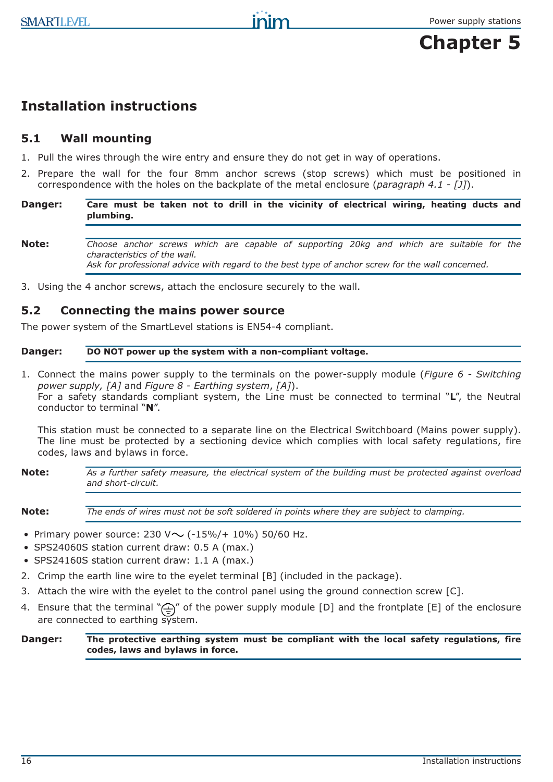# **Chapter 5**

# **Installation instructions**

# **5.1 Wall mounting**

- 1. Pull the wires through the wire entry and ensure they do not get in way of operations.
- 2. Prepare the wall for the four 8mm anchor screws (stop screws) which must be positioned in correspondence with the holes on the backplate of the metal enclosure (*paragraph 4.1 - [J]*).
- **Danger: Care must be taken not to drill in the vicinity of electrical wiring, heating ducts and plumbing.**
- **Note:** *Choose anchor screws which are capable of supporting 20kg and which are suitable for the characteristics of the wall. Ask for professional advice with regard to the best type of anchor screw for the wall concerned.*
- 3. Using the 4 anchor screws, attach the enclosure securely to the wall.

# **5.2 Connecting the mains power source**

The power system of the SmartLevel stations is EN54-4 compliant.

#### **Danger: DO NOT power up the system with a non-compliant voltage.**

1. Connect the mains power supply to the terminals on the power-supply module (*Figure 6 - Switching power supply, [A]* and *Figure 8 - Earthing system*, *[A]*). For a safety standards compliant system, the Line must be connected to terminal "**L**", the Neutral conductor to terminal "**N**".

This station must be connected to a separate line on the Electrical Switchboard (Mains power supply). The line must be protected by a sectioning device which complies with local safety regulations, fire codes, laws and bylaws in force.

**Note:** *As a further safety measure, the electrical system of the building must be protected against overload and short-circuit.*

**Note:** *The ends of wires must not be soft soldered in points where they are subject to clamping.*

- Primary power source: 230 V $\sim$  (-15%/+ 10%) 50/60 Hz.
- SPS24060S station current draw: 0.5 A (max.)
- SPS24160S station current draw: 1.1 A (max.)
- 2. Crimp the earth line wire to the eyelet terminal [B] (included in the package).
- 3. Attach the wire with the eyelet to the control panel using the ground connection screw [C].
- 4. Ensure that the terminal " $\bigoplus$ " of the power supply module [D] and the frontplate [E] of the enclosure are connected to earthing system.

**Danger: The protective earthing system must be compliant with the local safety regulations, fire codes, laws and bylaws in force.**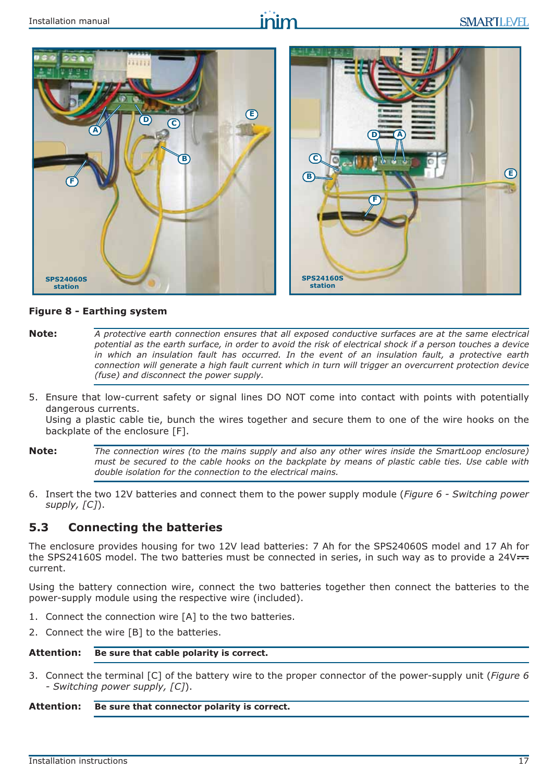

#### **Figure 8 - Earthing system**

- **Note:** *A protective earth connection ensures that all exposed conductive surfaces are at the same electrical potential as the earth surface, in order to avoid the risk of electrical shock if a person touches a device in which an insulation fault has occurred. In the event of an insulation fault, a protective earth connection will generate a high fault current which in turn will trigger an overcurrent protection device (fuse) and disconnect the power supply.*
- 5. Ensure that low-current safety or signal lines DO NOT come into contact with points with potentially dangerous currents.

Using a plastic cable tie, bunch the wires together and secure them to one of the wire hooks on the backplate of the enclosure [F].

- **Note:** *The connection wires (to the mains supply and also any other wires inside the SmartLoop enclosure) must be secured to the cable hooks on the backplate by means of plastic cable ties. Use cable with double isolation for the connection to the electrical mains.*
- 6. Insert the two 12V batteries and connect them to the power supply module (*Figure 6 Switching power supply, [C]*).

#### **5.3 Connecting the batteries**

The enclosure provides housing for two 12V lead batteries: 7 Ah for the SPS24060S model and 17 Ah for the SPS24160S model. The two batteries must be connected in series, in such way as to provide a 24V--current.

Using the battery connection wire, connect the two batteries together then connect the batteries to the power-supply module using the respective wire (included).

- 1. Connect the connection wire [A] to the two batteries.
- 2. Connect the wire [B] to the batteries.

#### **Attention: Be sure that cable polarity is correct.**

3. Connect the terminal [C] of the battery wire to the proper connector of the power-supply unit (*Figure 6 - Switching power supply, [C]*).

#### **Attention: Be sure that connector polarity is correct.**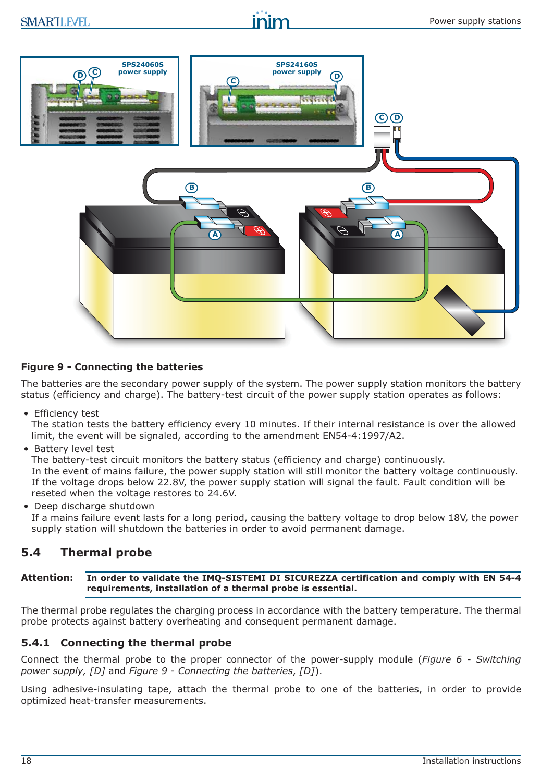

#### **Figure 9 - Connecting the batteries**

The batteries are the secondary power supply of the system. The power supply station monitors the battery status (efficiency and charge). The battery-test circuit of the power supply station operates as follows:

• Efficiency test

The station tests the battery efficiency every 10 minutes. If their internal resistance is over the allowed limit, the event will be signaled, according to the amendment EN54-4:1997/A2.

• Battery level test

The battery-test circuit monitors the battery status (efficiency and charge) continuously. In the event of mains failure, the power supply station will still monitor the battery voltage continuously. If the voltage drops below 22.8V, the power supply station will signal the fault. Fault condition will be reseted when the voltage restores to 24.6V.

• Deep discharge shutdown

If a mains failure event lasts for a long period, causing the battery voltage to drop below 18V, the power supply station will shutdown the batteries in order to avoid permanent damage.

## **5.4 Thermal probe**

**Attention: In order to validate the IMQ-SISTEMI DI SICUREZZA certification and comply with EN 54-4 requirements, installation of a thermal probe is essential.** 

The thermal probe regulates the charging process in accordance with the battery temperature. The thermal probe protects against battery overheating and consequent permanent damage.

#### **5.4.1 Connecting the thermal probe**

Connect the thermal probe to the proper connector of the power-supply module (*Figure 6 - Switching power supply, [D]* and *Figure 9 - Connecting the batteries*, *[D]*).

Using adhesive-insulating tape, attach the thermal probe to one of the batteries, in order to provide optimized heat-transfer measurements.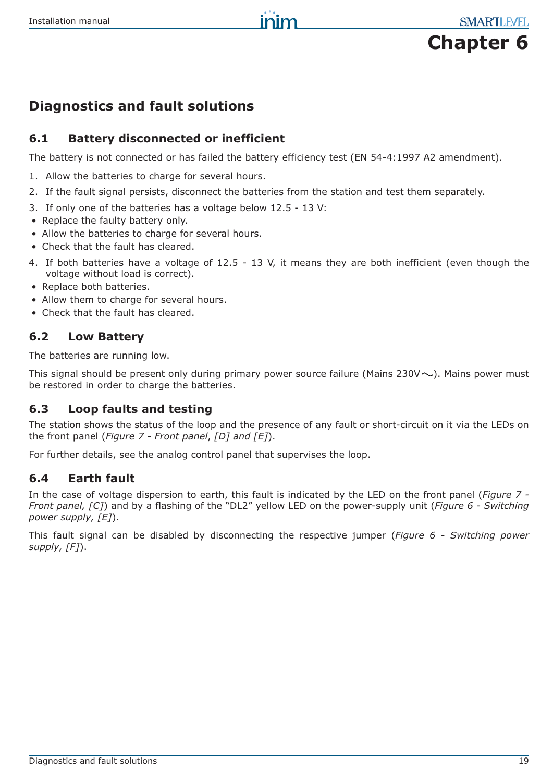

# **Diagnostics and fault solutions**

## **6.1 Battery disconnected or inefficient**

The battery is not connected or has failed the battery efficiency test (EN 54-4:1997 A2 amendment).

- 1. Allow the batteries to charge for several hours.
- 2. If the fault signal persists, disconnect the batteries from the station and test them separately.
- 3. If only one of the batteries has a voltage below 12.5 13 V:
- Replace the faulty battery only.
- Allow the batteries to charge for several hours.
- Check that the fault has cleared.
- 4. If both batteries have a voltage of 12.5 13 V, it means they are both inefficient (even though the voltage without load is correct).
- Replace both batteries.
- Allow them to charge for several hours.
- Check that the fault has cleared.

#### **6.2 Low Battery**

The batteries are running low.

This signal should be present only during primary power source failure (Mains 230V $\sim$ ). Mains power must be restored in order to charge the batteries.

## **6.3 Loop faults and testing**

The station shows the status of the loop and the presence of any fault or short-circuit on it via the LEDs on the front panel (*Figure 7 - Front panel*, *[D] and [E]*).

For further details, see the analog control panel that supervises the loop.

## **6.4 Earth fault**

In the case of voltage dispersion to earth, this fault is indicated by the LED on the front panel (*Figure 7 - Front panel, [C]*) and by a flashing of the "DL2" yellow LED on the power-supply unit (*Figure 6 - Switching power supply, [E]*).

This fault signal can be disabled by disconnecting the respective jumper (*Figure 6 - Switching power supply, [F]*).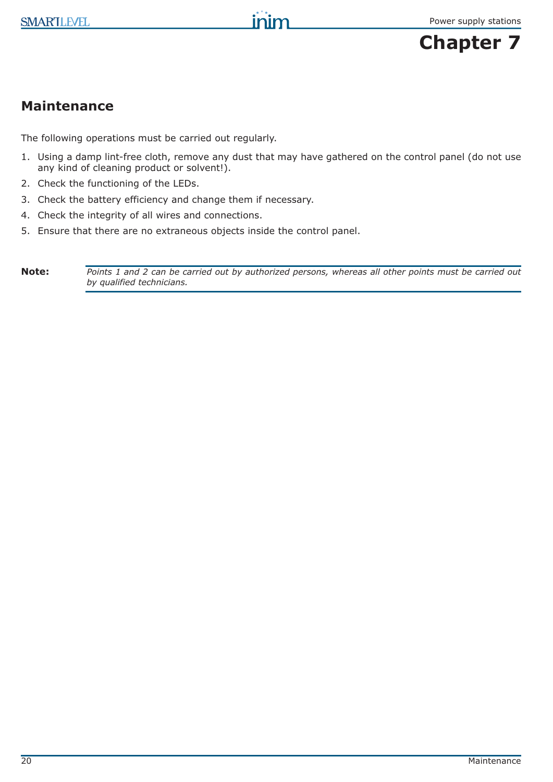

# **Maintenance**

The following operations must be carried out regularly.

1. Using a damp lint-free cloth, remove any dust that may have gathered on the control panel (do not use any kind of cleaning product or solvent!).

inim

- 2. Check the functioning of the LEDs.
- 3. Check the battery efficiency and change them if necessary.
- 4. Check the integrity of all wires and connections.
- 5. Ensure that there are no extraneous objects inside the control panel.

**Note:** *Points 1 and 2 can be carried out by authorized persons, whereas all other points must be carried out by qualified technicians.*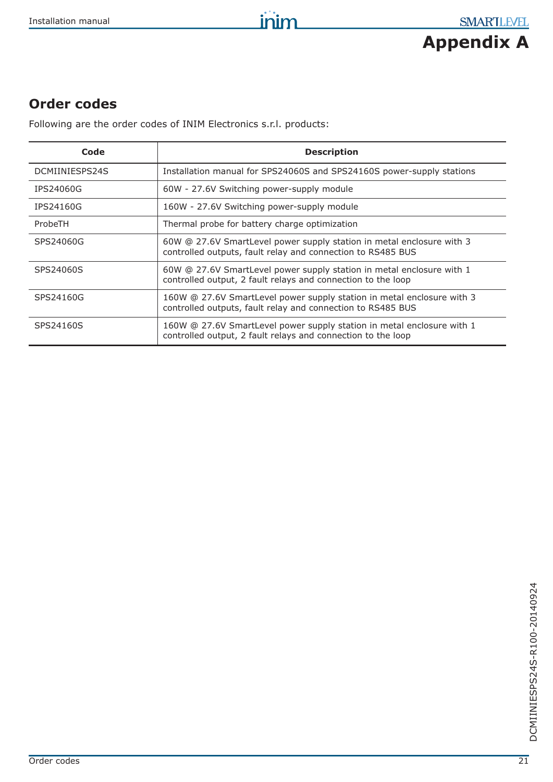

# **Order codes**

Following are the order codes of INIM Electronics s.r.l. products:

| Code           | <b>Description</b>                                                                                                                     |
|----------------|----------------------------------------------------------------------------------------------------------------------------------------|
| DCMIINIESPS24S | Installation manual for SPS24060S and SPS24160S power-supply stations                                                                  |
| IPS24060G      | 60W - 27.6V Switching power-supply module                                                                                              |
| IPS24160G      | 160W - 27.6V Switching power-supply module                                                                                             |
| ProbeTH        | Thermal probe for battery charge optimization                                                                                          |
| SPS24060G      | 60W @ 27.6V SmartLevel power supply station in metal enclosure with 3<br>controlled outputs, fault relay and connection to RS485 BUS   |
| SPS24060S      | 60W @ 27.6V SmartLevel power supply station in metal enclosure with 1<br>controlled output, 2 fault relays and connection to the loop  |
| SPS24160G      | 160W @ 27.6V SmartLevel power supply station in metal enclosure with 3<br>controlled outputs, fault relay and connection to RS485 BUS  |
| SPS24160S      | 160W @ 27.6V SmartLevel power supply station in metal enclosure with 1<br>controlled output, 2 fault relays and connection to the loop |